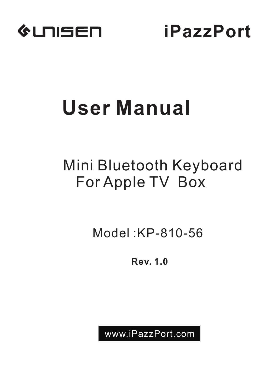

**iPazzPort**

# **User Manual**

# Mini Bluetooth Keyboard For Apple TV Box

Model :KP-810-56

Rev. 1.0

www.iPazzPort.com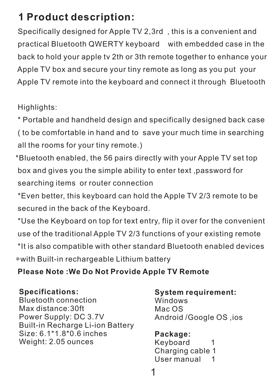# **1 Product description:**

 Specifically designed for Apple TV 2,3rd , this is a convenient and practical Bluetooth QWERTY keyboard with embedded case in the back to hold your apple tv 2th or 3th remote together to enhance your Apple TV box and secure your tiny remote as long as you put your Apple TV remote into the keyboard and connect it through Bluetooth

Highlights:

 \* Portable and handheld design and specifically designed back case ( to be comfortable in hand and to save your much time in searching all the rooms for your tiny remote.)

 \*Bluetooth enabled, the 56 pairs directly with your Apple TV set top box and gives you the simple ability to enter text ,password for searching items or router connection

 \*Even better, this keyboard can hold the Apple TV 2/3 remote to be secured in the back of the Keyboard.

 \*Use the Keyboard on top for text entry, flip it over for the convenient use of the traditional Apple TV 2/3 functions of your existing remote \*It is also compatible with other standard Bluetooth enabled devices \*with Built-in rechargeable Lithium battery

### **Please Note :We Do Not Provide Apple TV Remote**

**Specifications:**

Bluetooth connection Max distance:30ft Power Supply: DC 3.7V Built-in Recharge Li-ion Battery Size: 6.1\*1.8\*0.6 inches Weight: 2.05 ounces

**System requirement:** Windows Mac OS Android /Google OS ,ios

**Package:** Keyboard 1 Charging cable 1 User manual 1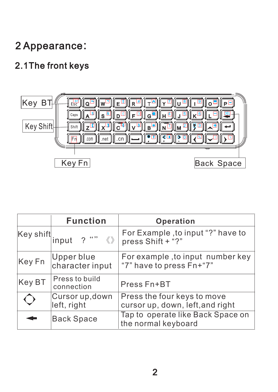# 2 Appearance:

# 2.1The front keys



|                 | <b>Function</b>                | Operation                                                       |
|-----------------|--------------------------------|-----------------------------------------------------------------|
| Key shift input | $2^{n}$                        | For Example, to input "?" have to<br>press Shift + "?"          |
| Key Fn          | Upper blue<br>character input  | For example, to input number key<br>"7" have to press Fn+"7"    |
| Key BT          | Press to build<br>connection   | Press Fn+BT                                                     |
|                 | Cursor up, down<br>left, right | Press the four keys to move<br>cursor up, down, left, and right |
|                 | <b>Back Space</b>              | Tap to operate like Back Space on<br>the normal keyboard        |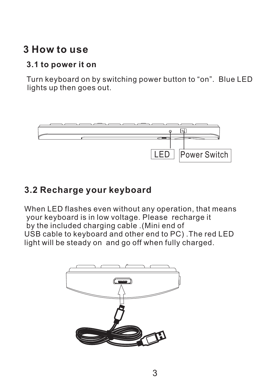# **3 How to use**

## **3.1 to power it on**

 Turn keyboard on by switching power button to "on". Blue LED lights up then goes out.



## **3.2 Recharge your keyboard**

When LED flashes even without any operation, that means your keyboard is in low voltage. Please recharge it by the included charging cable .(Mini end of USB cable to keyboard and other end to PC) .The red LED light will be steady on and go off when fully charged.

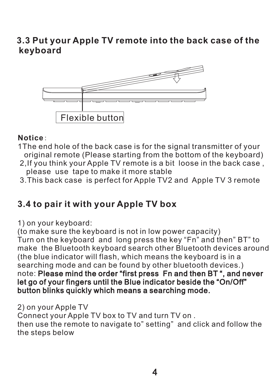## **3.3 Put your Apple TV remote into the back case of the keyboard**



#### **Notice**:

- 1The end hole of the back case is for the signal transmitter of your original remote (Please starting from the bottom of the keyboard)
- 2,If you think your Apple TV remote is a bit loose in the back case , please use tape to make it more stable
- 3. This back case is perfect for Apple TV2 and Apple TV 3 remote

# **3.4 to pair it with your Apple TV box**

1) on your keyboard:

(to make sure the keyboard is not in low power capacity) Turn on the keyboard and long press the key "Fn" and then" BT" to make the Bluetooth keyboard search other Bluetooth devices around (the blue indicator will flash, which means the keyboard is in a searching mode and can be found by other bluetooth devices.) note: Please mind the order "first press Fn and then BT ", and never let go of your fingers until the Blue indicator beside the "On/Off" button blinks quickly which means a searching mode.

#### 2) on your Apple TV

Connect your Apple TV box to TV and turn TV on . then use the remote to navigate to" setting" and click and follow the the steps below

4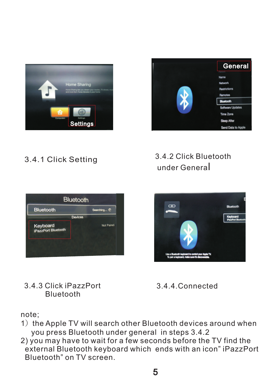



## 3.4.1 Click Setting

## 3.4.2 Click Bluetooth under General







## 3.4.4.Connected

note;

- 1) the Apple TV will search other Bluetooth devices around when you press Bluetooth under general in steps 3.4.2
- 2) you may have to wait for a few seconds before the TV find the external Bluetooth keyboard which ends with an icon" iPazzPort Bluetooth" on TV screen.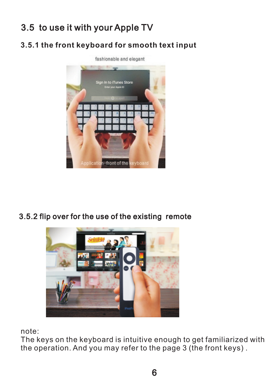# 3.5 to use it with your Apple TV

### **3.5.1 the front keyboard for smooth text input**



3.5.2 flip over for the use of the existing remote



note:

The keys on the keyboard is intuitive enough to get familiarized with the operation. And you may refer to the page 3 (the front keys) .

6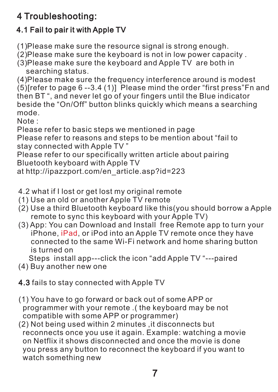# 4 Troubleshooting:

## 4.1 Fail to pair it with Apple TV

(1)Please make sure the resource signal is strong enough.

(2)Please make sure the keyboard is not in low power capacity .

(3)Please make sure the keyboard and Apple TV are both in searching status.

(4)Please make sure the frequency interference around is modest (5)[refer to page 6 --3.4 (1)] Please mind the order "first press"Fn and then BT ", and never let go of your fingers until the Blue indicator beside the "On/Off" button blinks quickly which means a searching mode.

Note :

Please refer to basic steps we mentioned in page

Please refer to reasons and steps to be mention about "fail to stay connected with Apple TV "

Please refer to our specifically written article about pairing Bluetooth keyboard with Apple TV

at http://ipazzport.com/en\_article.asp?id=223

- 4.2 what if I lost or get lost my original remote
- (1) Use an old or another Apple TV remote
- (2) Use a third Bluetooth keyboard like this(you should borrow a Apple remote to sync this keyboard with your Apple TV)
- (3) App: You can Download and Install free Remote app to turn your iPhone, iPad, or iPod into an Apple TV remote once they have connected to the same Wi-Fi network and home sharing button is turned on

Steps install app---click the icon "add Apple TV "---paired

(4) Buy another new one

4.3 fails to stay connected with Apple TV

- (1) You have to go forward or back out of some APP or programmer with your remote .( the keyboard may be not compatible with some APP or programmer)
- (2) Not being used within 2 minutes ,it disconnects but reconnects once you use it again. Example: watching a movie on Netflix it shows disconnected and once the movie is done you press any button to reconnect the keyboard if you want to watch something new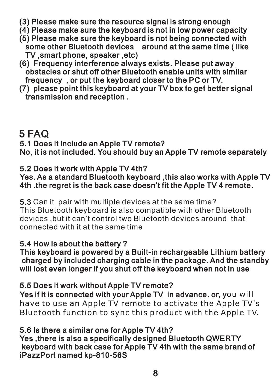- (3) Please make sure the resource signal is strong enough
- $(4)$  Please make sure the keyboard is not in low power capacity
- (5) Please make sure the keyboard is not being connected with some other Bluetooth devices around at the same time ( like TV ,smart phone, speaker ,etc)
- (6) Frequency interference always exists. Please put away obstacles or shut off other Bluetooth enable units with similar frequency , or put the keyboard closer to the PC or TV.
- (7) please point this keyboard at your TV box to get better signal transmission and reception .

## 5 FAQ

5.1 Does it include an Apple TV remote? No, it is not included. You should buy an Apple TV remote separately

## 5.2 Does it work with Apple TV 4th?

Yes. As a standard Bluetooth keyboard ,this also works with Apple TV 4th .the regret is the back case doesn't fit the Apple TV 4 remote.

5.3 Can it pair with multiple devices at the same time? This Bluetooth keyboard is also compatible with other Bluetooth devices, but it can't control two Bluetooth devices around that connected with it at the same time

## 5.4 How is about the battery ?

This keyboard is powered by a Built-in rechargeable Lithium battery charged by included charging cable in the package. And the standby will lost even longer if you shut off the keyboard when not in use

### 5.5 Does it work without Apple TV remote?

Yes if it is connected with your Apple TV in advance. or, y ou will have to use an Apple TV remote to activate the Apple TV's Bluetooth function to sync this product with the Apple TV.

## 5.6 Is there a similar one for Apple TV 4th?

Yes ,there is also a specifically designed Bluetooth QWERTY keyboard with back case for Apple TV 4th with the same brand of iPazzPort named kp-810-56S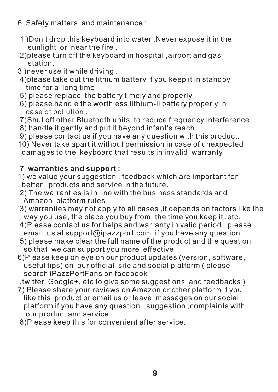- 6 Safety matters and maintenance :
- 1 )Don't drop this keyboard into water .Never expose it in the sunlight or near the fire .
- 2)please turn off the keyboard in hospital ,airport and gas station.
- 3 )never use it while driving .
- 4)please take out the lithium battery if you keep it in standby time for a long time.
- 5) please replace the battery timely and properly .
- 6) please handle the worthless lithium-li battery properly in case of pollution .
- 7)Shut off other Bluetooth units to reduce frequency interference .
- 8) handle it gently and put it beyond infant's reach.
- 9) please contact us if you have any question with this product.
- 10) Never take apart it without permission in case of unexpected damages to the keyboard that results in invalid warranty

#### **7 warranties and support :**

- 1) we value your suggestion , feedback which are important for better products and service in the future.
- 2) The warranties is in line with the business standards and Amazon platform rules
- 3) warranties may not apply to all cases ,it depends on factors like the way you use, the place you buy from, the time you keep it ,etc.
- 4)Please contact us for helps and warranty in valid period. please email us at support@ipazzport.com if you have any question
- 5) please make clear the full name of the product and the question so that we can support you more effective
- 6)Please keep on eye on our product updates (version, software, useful tips) on our official site and social platform ( please search iPazzPortFans on facebook
- ,twitter, Google+, etc to give some suggestions and feedbacks )
- 7) Please share your reviews on Amazon or other platform if you like this product or email us or leave messages on our social platform if you have any question ,suggestion ,complaints with our product and service.
- 8)Please keep this for convenient after service.